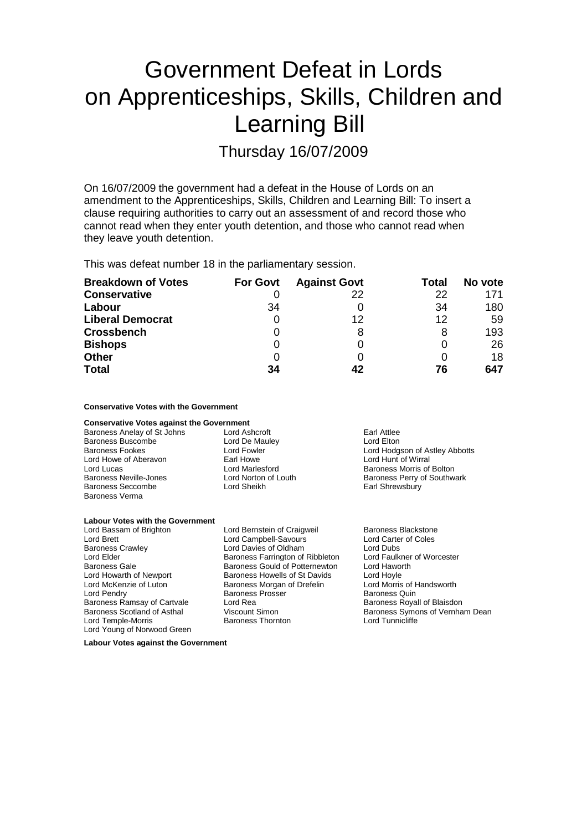# Government Defeat in Lords on Apprenticeships, Skills, Children and Learning Bill

Thursday 16/07/2009

On 16/07/2009 the government had a defeat in the House of Lords on an amendment to the Apprenticeships, Skills, Children and Learning Bill: To insert a clause requiring authorities to carry out an assessment of and record those who cannot read when they enter youth detention, and those who cannot read when they leave youth detention.

This was defeat number 18 in the parliamentary session.

| <b>Breakdown of Votes</b> | <b>For Govt</b> | <b>Against Govt</b> | Total | No vote |
|---------------------------|-----------------|---------------------|-------|---------|
| <b>Conservative</b>       |                 | 22                  | 22    | 171     |
| Labour                    | 34              |                     | 34    | 180     |
| <b>Liberal Democrat</b>   |                 | 12                  | 12    | 59      |
| <b>Crossbench</b>         |                 | 8                   |       | 193     |
| <b>Bishops</b>            |                 |                     |       | 26      |
| <b>Other</b>              | 0               |                     |       | 18      |
| <b>Total</b>              | 34              | 42                  | 76    | 647     |

### **Conservative Votes with the Government**

| <b>Conservative Votes against the Government</b> |                      |                                |
|--------------------------------------------------|----------------------|--------------------------------|
| Baroness Anelay of St Johns                      | Lord Ashcroft        | Earl Attlee                    |
| <b>Baroness Buscombe</b>                         | Lord De Mauley       | Lord Elton                     |
| <b>Baroness Fookes</b>                           | Lord Fowler          | Lord Hodgson of Astley Abbotts |
| Lord Howe of Aberavon                            | Earl Howe            | Lord Hunt of Wirral            |
| Lord Lucas                                       | Lord Marlesford      | Baroness Morris of Bolton      |
| <b>Baroness Neville-Jones</b>                    | Lord Norton of Louth | Baroness Perry of Southwark    |
| Baroness Seccombe                                | Lord Sheikh          | Earl Shrewsbury                |
| Baroness Verma                                   |                      |                                |

#### **Labour Votes with the Government**

Lord Bassam of Brighton **Lord Bernstein of Craigweil Baroness Blackstone**<br>
Lord Brett **Lord Baroness Blackstone**<br>
Lord Brett **Coles** Lord Brett Lord Campbell-Savours Lord Carte<br>
Baroness Crawley Lord Carter Lord Davies of Oldham Lord Dubs Baroness Crawley **Started Example 2 Lord Davies of Oldham** Cord Dubs<br>
Lord Elder Cord Elder **Corporation**<br>
Baroness Farrington of Ribbleton Lord Faulkner of Worcester Baroness Farrington of Ribbleton Baroness Gale Baroness Gould of Potternewton Lord Haworth<br>
Lord Howarth of Newport Baroness Howells of St Davids Lord Hoyle Baroness Howells of St Davids Lord McKenzie of Luton Baroness Morgan of Drefelin Lord Morris of Handsworth Lord Pendry **Communist Communist Communist Prosect Communist Communist Prosect Communist Prosect Communist Prosect**<br>Baroness Ramsay of Cartvale **Baroness Lord Rea** Core Communist Provident Blaisdon Baroness Ramsay of Cartvale Lord Rea<br>Baroness Scotland of Asthal Viscount Simon Baroness Scotland of Asthal Viscount Simon Baroness Symons of Vernham Dean<br>
Lord Temple-Morris Baroness Thornton Baroness Thornton Lord Tunnicliffe Baroness Thornton Lord Young of Norwood Green

**Labour Votes against the Government**